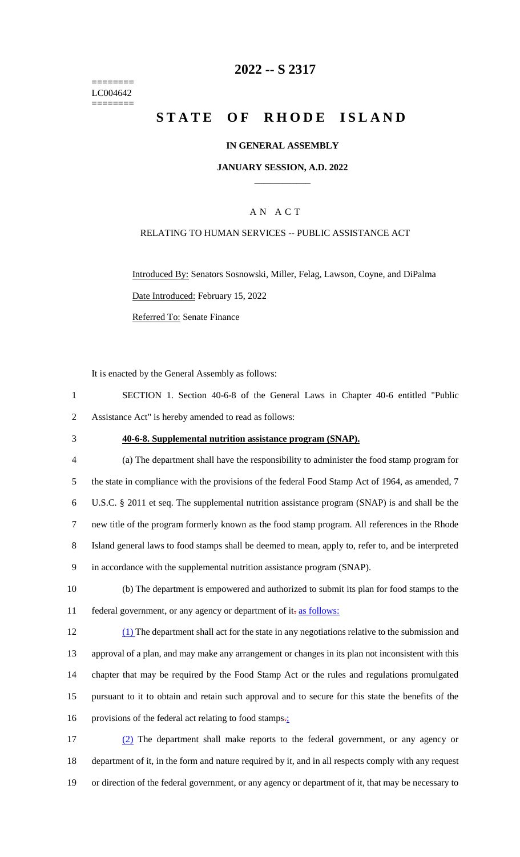======== LC004642 ========

## **2022 -- S 2317**

# **STATE OF RHODE ISLAND**

#### **IN GENERAL ASSEMBLY**

#### **JANUARY SESSION, A.D. 2022 \_\_\_\_\_\_\_\_\_\_\_\_**

### A N A C T

#### RELATING TO HUMAN SERVICES -- PUBLIC ASSISTANCE ACT

Introduced By: Senators Sosnowski, Miller, Felag, Lawson, Coyne, and DiPalma Date Introduced: February 15, 2022 Referred To: Senate Finance

It is enacted by the General Assembly as follows:

1 SECTION 1. Section 40-6-8 of the General Laws in Chapter 40-6 entitled "Public 2 Assistance Act" is hereby amended to read as follows:

#### 3 **40-6-8. Supplemental nutrition assistance program (SNAP).**

 (a) The department shall have the responsibility to administer the food stamp program for 5 the state in compliance with the provisions of the federal Food Stamp Act of 1964, as amended, 7 U.S.C. § 2011 et seq. The supplemental nutrition assistance program (SNAP) is and shall be the new title of the program formerly known as the food stamp program. All references in the Rhode Island general laws to food stamps shall be deemed to mean, apply to, refer to, and be interpreted in accordance with the supplemental nutrition assistance program (SNAP).

10 (b) The department is empowered and authorized to submit its plan for food stamps to the 11 federal government, or any agency or department of it-as follows:

 (1) The department shall act for the state in any negotiations relative to the submission and approval of a plan, and may make any arrangement or changes in its plan not inconsistent with this chapter that may be required by the Food Stamp Act or the rules and regulations promulgated pursuant to it to obtain and retain such approval and to secure for this state the benefits of the 16 provisions of the federal act relating to food stamps.

17 (2) The department shall make reports to the federal government, or any agency or 18 department of it, in the form and nature required by it, and in all respects comply with any request 19 or direction of the federal government, or any agency or department of it, that may be necessary to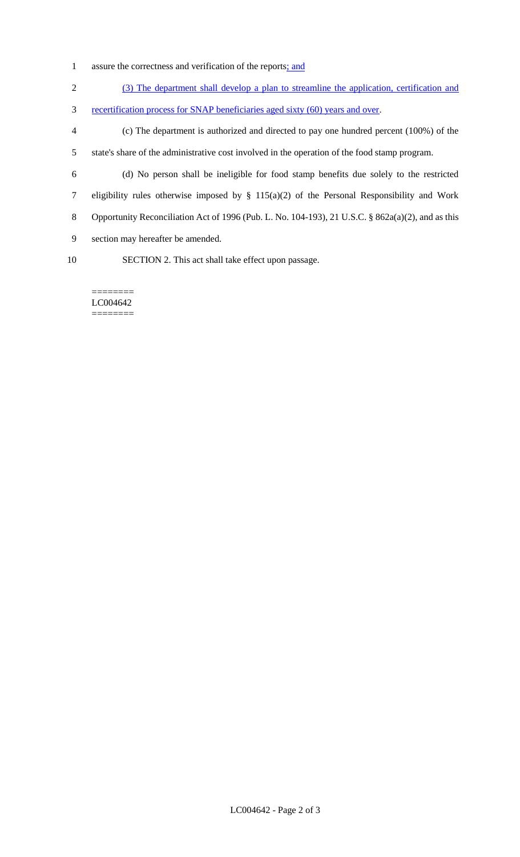- 1 assure the correctness and verification of the reports<u>; and</u>
- 2 (3) The department shall develop a plan to streamline the application, certification and
- 3 recertification process for SNAP beneficiaries aged sixty (60) years and over.
- 4 (c) The department is authorized and directed to pay one hundred percent (100%) of the 5 state's share of the administrative cost involved in the operation of the food stamp program.
- 
- 6 (d) No person shall be ineligible for food stamp benefits due solely to the restricted 7 eligibility rules otherwise imposed by § 115(a)(2) of the Personal Responsibility and Work 8 Opportunity Reconciliation Act of 1996 (Pub. L. No. 104-193), 21 U.S.C. § 862a(a)(2), and as this
- 9 section may hereafter be amended.
- 
- 10 SECTION 2. This act shall take effect upon passage.

======== LC004642 ========